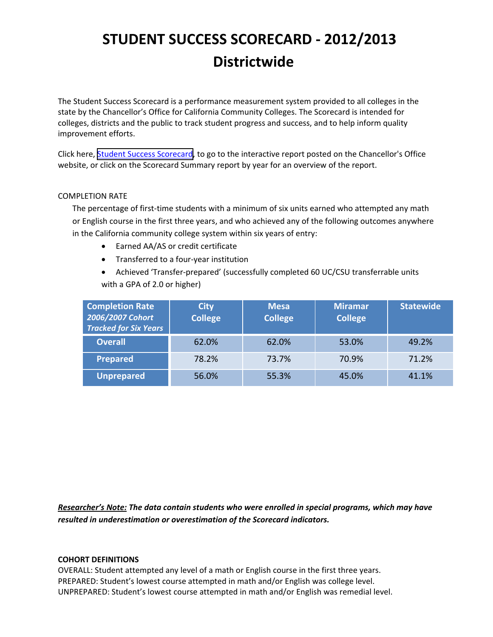The Student Success Scorecard is a performance measurement system provided to all colleges in the state by the Chancellor's Office for California Community Colleges. The Scorecard is intended for colleges, districts and the public to track student progress and success, and to help inform quality improvement efforts.

Click here, Student Success [Scorecard,](http://scorecard.cccco.edu/scorecard.aspx) to go to the interactive report posted on the Chancellor's Office website, or click on the Scorecard Summary report by year for an overview of the report.

### COMPLETION RATE

The percentage of first-time students with a minimum of six units earned who attempted any math or English course in the first three years, and who achieved any of the following outcomes anywhere in the California community college system within six years of entry:

- Earned AA/AS or credit certificate
- Transferred to a four‐year institution
- Achieved 'Transfer‐prepared' (successfully completed 60 UC/CSU transferrable units with a GPA of 2.0 or higher)

| <b>Completion Rate</b><br>2006/2007 Cohort<br><b>Tracked for Six Years</b> | <b>City</b><br><b>College</b> | <b>Mesa</b><br><b>College</b> | <b>Miramar</b><br><b>College</b> | <b>Statewide</b> |
|----------------------------------------------------------------------------|-------------------------------|-------------------------------|----------------------------------|------------------|
| <b>Overall</b>                                                             | 62.0%                         | 62.0%                         | 53.0%                            | 49.2%            |
| <b>Prepared</b>                                                            | 78.2%                         | 73.7%                         | 70.9%                            | 71.2%            |
| <b>Unprepared</b>                                                          | 56.0%                         | 55.3%                         | 45.0%                            | 41.1%            |

*Researcher's Note: The data contain students who were enrolled in special programs, which may have resulted in underestimation or overestimation of the Scorecard indicators.* 

### **COHORT DEFINITIONS**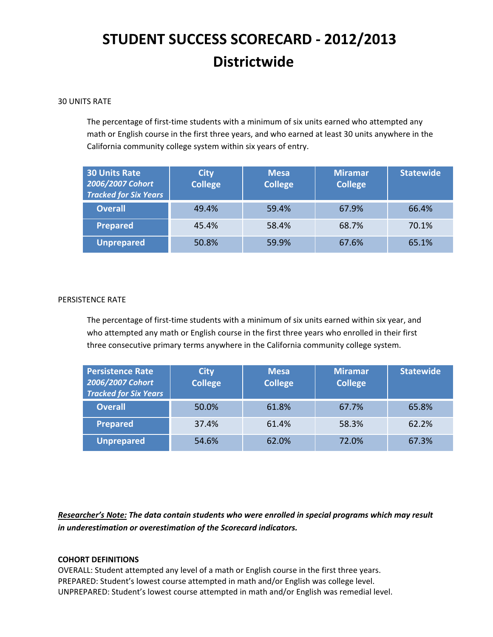### 30 UNITS RATE

The percentage of first-time students with a minimum of six units earned who attempted any math or English course in the first three years, and who earned at least 30 units anywhere in the California community college system within six years of entry.

| <b>30 Units Rate</b><br>2006/2007 Cohort<br><b>Tracked for Six Years</b> | <b>City</b><br><b>College</b> | <b>Mesa</b><br><b>College</b> | <b>Miramar</b><br><b>College</b> | <b>Statewide</b> |
|--------------------------------------------------------------------------|-------------------------------|-------------------------------|----------------------------------|------------------|
| <b>Overall</b>                                                           | 49.4%                         | 59.4%                         | 67.9%                            | 66.4%            |
| <b>Prepared</b>                                                          | 45.4%                         | 58.4%                         | 68.7%                            | 70.1%            |
| Unprepared                                                               | 50.8%                         | 59.9%                         | 67.6%                            | 65.1%            |

### PERSISTENCE RATE

The percentage of first-time students with a minimum of six units earned within six year, and who attempted any math or English course in the first three years who enrolled in their first three consecutive primary terms anywhere in the California community college system.

| <b>Persistence Rate</b><br>2006/2007 Cohort<br><b>Tracked for Six Years</b> | <b>City</b><br><b>College</b> | <b>Mesa</b><br><b>College</b> | <b>Miramar</b><br><b>College</b> | <b>Statewide</b> |
|-----------------------------------------------------------------------------|-------------------------------|-------------------------------|----------------------------------|------------------|
| <b>Overall</b>                                                              | 50.0%                         | 61.8%                         | 67.7%                            | 65.8%            |
| <b>Prepared</b>                                                             | 37.4%                         | 61.4%                         | 58.3%                            | 62.2%            |
| <b>Unprepared</b>                                                           | 54.6%                         | 62.0%                         | 72.0%                            | 67.3%            |

*Researcher's Note: The data contain students who were enrolled in special programs which may result in underestimation or overestimation of the Scorecard indicators.* 

### **COHORT DEFINITIONS**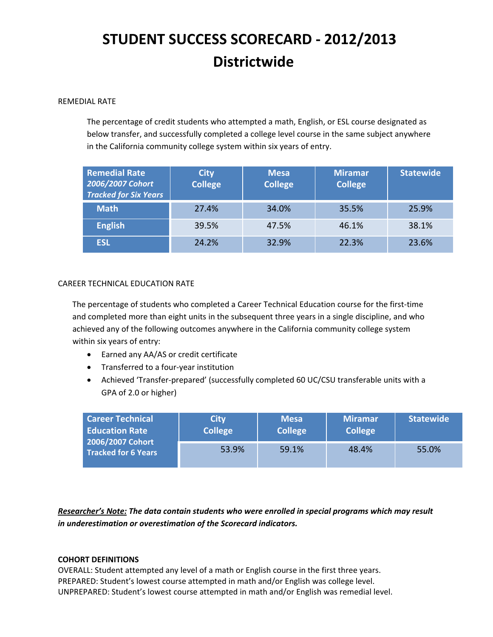### REMEDIAL RATE

The percentage of credit students who attempted a math, English, or ESL course designated as below transfer, and successfully completed a college level course in the same subject anywhere in the California community college system within six years of entry.

| <b>Remedial Rate</b><br>2006/2007 Cohort<br><b>Tracked for Six Years</b> | <b>City</b><br><b>College</b> | <b>Mesa</b><br><b>College</b> | <b>Miramar</b><br><b>College</b> | <b>Statewide</b> |
|--------------------------------------------------------------------------|-------------------------------|-------------------------------|----------------------------------|------------------|
| <b>Math</b>                                                              | 27.4%                         | 34.0%                         | 35.5%                            | 25.9%            |
| <b>English</b>                                                           | 39.5%                         | 47.5%                         | 46.1%                            | 38.1%            |
| <b>ESL</b>                                                               | 24.2%                         | 32.9%                         | 22.3%                            | 23.6%            |

## CAREER TECHNICAL EDUCATION RATE

The percentage of students who completed a Career Technical Education course for the first‐time and completed more than eight units in the subsequent three years in a single discipline, and who achieved any of the following outcomes anywhere in the California community college system within six years of entry:

- Earned any AA/AS or credit certificate
- Transferred to a four‐year institution
- Achieved 'Transfer-prepared' (successfully completed 60 UC/CSU transferable units with a GPA of 2.0 or higher)

| <b>Career Technical</b><br><b>Education Rate</b><br>2006/2007 Cohort<br><b>Tracked for 6 Years</b> | <b>City</b><br><b>College</b> | <b>Mesa</b><br><b>College</b> | <b>Miramar</b><br><b>College</b> | <b>Statewide</b> |
|----------------------------------------------------------------------------------------------------|-------------------------------|-------------------------------|----------------------------------|------------------|
|                                                                                                    | 53.9%                         | 59.1%                         | 48.4%                            | 55.0%            |

*Researcher's Note: The data contain students who were enrolled in special programs which may result in underestimation or overestimation of the Scorecard indicators.* 

### **COHORT DEFINITIONS**